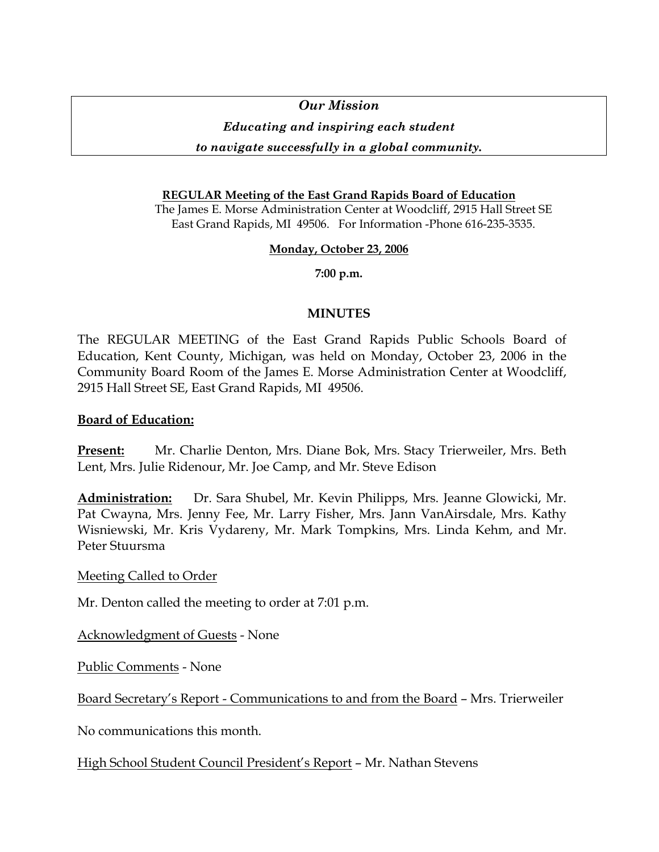# *Our Mission*

# *Educating and inspiring each student*

# *to navigate successfully in a global community.*

#### **REGULAR Meeting of the East Grand Rapids Board of Education**

The James E. Morse Administration Center at Woodcliff, 2915 Hall Street SE East Grand Rapids, MI 49506. For Information -Phone 616-235-3535.

#### **Monday, October 23, 2006**

**7:00 p.m.**

# **MINUTES**

The REGULAR MEETING of the East Grand Rapids Public Schools Board of Education, Kent County, Michigan, was held on Monday, October 23, 2006 in the Community Board Room of the James E. Morse Administration Center at Woodcliff, 2915 Hall Street SE, East Grand Rapids, MI 49506.

#### **Board of Education:**

**Present:** Mr. Charlie Denton, Mrs. Diane Bok, Mrs. Stacy Trierweiler, Mrs. Beth Lent, Mrs. Julie Ridenour, Mr. Joe Camp, and Mr. Steve Edison

**Administration:** Dr. Sara Shubel, Mr. Kevin Philipps, Mrs. Jeanne Glowicki, Mr. Pat Cwayna, Mrs. Jenny Fee, Mr. Larry Fisher, Mrs. Jann VanAirsdale, Mrs. Kathy Wisniewski, Mr. Kris Vydareny, Mr. Mark Tompkins, Mrs. Linda Kehm, and Mr. Peter Stuursma

Meeting Called to Order

Mr. Denton called the meeting to order at 7:01 p.m.

Acknowledgment of Guests - None

Public Comments - None

Board Secretary's Report - Communications to and from the Board – Mrs. Trierweiler

No communications this month.

High School Student Council President's Report – Mr. Nathan Stevens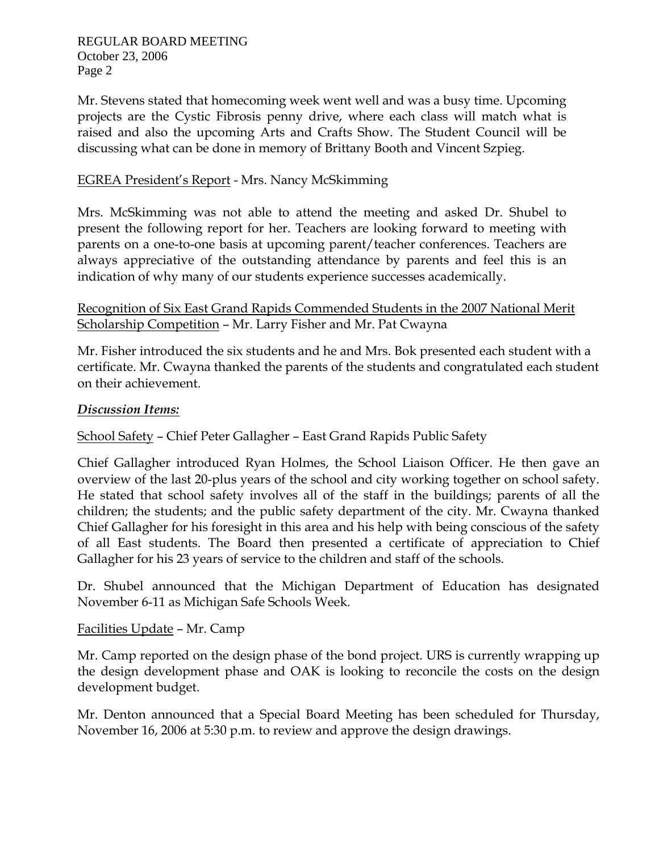Mr. Stevens stated that homecoming week went well and was a busy time. Upcoming projects are the Cystic Fibrosis penny drive, where each class will match what is raised and also the upcoming Arts and Crafts Show. The Student Council will be discussing what can be done in memory of Brittany Booth and Vincent Szpieg.

# EGREA President's Report - Mrs. Nancy McSkimming

Mrs. McSkimming was not able to attend the meeting and asked Dr. Shubel to present the following report for her. Teachers are looking forward to meeting with parents on a one-to-one basis at upcoming parent/teacher conferences. Teachers are always appreciative of the outstanding attendance by parents and feel this is an indication of why many of our students experience successes academically.

# Recognition of Six East Grand Rapids Commended Students in the 2007 National Merit Scholarship Competition – Mr. Larry Fisher and Mr. Pat Cwayna

Mr. Fisher introduced the six students and he and Mrs. Bok presented each student with a certificate. Mr. Cwayna thanked the parents of the students and congratulated each student on their achievement.

# *Discussion Items:*

# School Safety – Chief Peter Gallagher – East Grand Rapids Public Safety

Chief Gallagher introduced Ryan Holmes, the School Liaison Officer. He then gave an overview of the last 20-plus years of the school and city working together on school safety. He stated that school safety involves all of the staff in the buildings; parents of all the children; the students; and the public safety department of the city. Mr. Cwayna thanked Chief Gallagher for his foresight in this area and his help with being conscious of the safety of all East students. The Board then presented a certificate of appreciation to Chief Gallagher for his 23 years of service to the children and staff of the schools.

Dr. Shubel announced that the Michigan Department of Education has designated November 6-11 as Michigan Safe Schools Week.

# Facilities Update – Mr. Camp

Mr. Camp reported on the design phase of the bond project. URS is currently wrapping up the design development phase and OAK is looking to reconcile the costs on the design development budget.

Mr. Denton announced that a Special Board Meeting has been scheduled for Thursday, November 16, 2006 at 5:30 p.m. to review and approve the design drawings.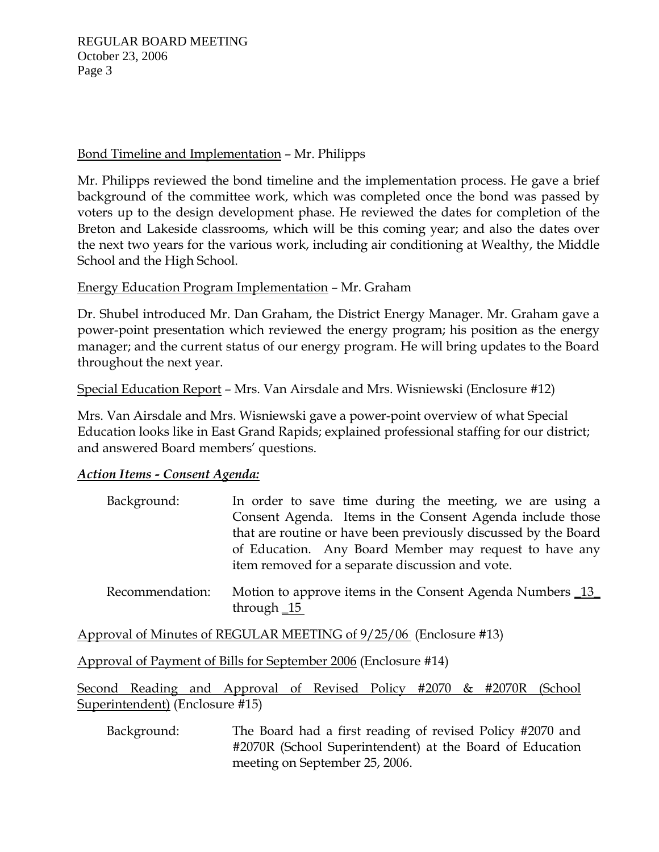# Bond Timeline and Implementation – Mr. Philipps

Mr. Philipps reviewed the bond timeline and the implementation process. He gave a brief background of the committee work, which was completed once the bond was passed by voters up to the design development phase. He reviewed the dates for completion of the Breton and Lakeside classrooms, which will be this coming year; and also the dates over the next two years for the various work, including air conditioning at Wealthy, the Middle School and the High School.

# Energy Education Program Implementation – Mr. Graham

Dr. Shubel introduced Mr. Dan Graham, the District Energy Manager. Mr. Graham gave a power-point presentation which reviewed the energy program; his position as the energy manager; and the current status of our energy program. He will bring updates to the Board throughout the next year.

# Special Education Report – Mrs. Van Airsdale and Mrs. Wisniewski (Enclosure #12)

Mrs. Van Airsdale and Mrs. Wisniewski gave a power-point overview of what Special Education looks like in East Grand Rapids; explained professional staffing for our district; and answered Board members' questions.

# *Action Items - Consent Agenda:*

| Background:     | In order to save time during the meeting, we are using a        |
|-----------------|-----------------------------------------------------------------|
|                 | Consent Agenda. Items in the Consent Agenda include those       |
|                 | that are routine or have been previously discussed by the Board |
|                 | of Education. Any Board Member may request to have any          |
|                 | item removed for a separate discussion and vote.                |
| Recommendation: | Motion to approve items in the Consent Agenda Numbers 13        |

Approval of Minutes of REGULAR MEETING of 9/25/06 (Enclosure #13)

Approval of Payment of Bills for September 2006 (Enclosure #14)

through <u>15</u>

Second Reading and Approval of Revised Policy #2070 & #2070R (School Superintendent) (Enclosure #15)

 Background: The Board had a first reading of revised Policy #2070 and #2070R (School Superintendent) at the Board of Education meeting on September 25, 2006.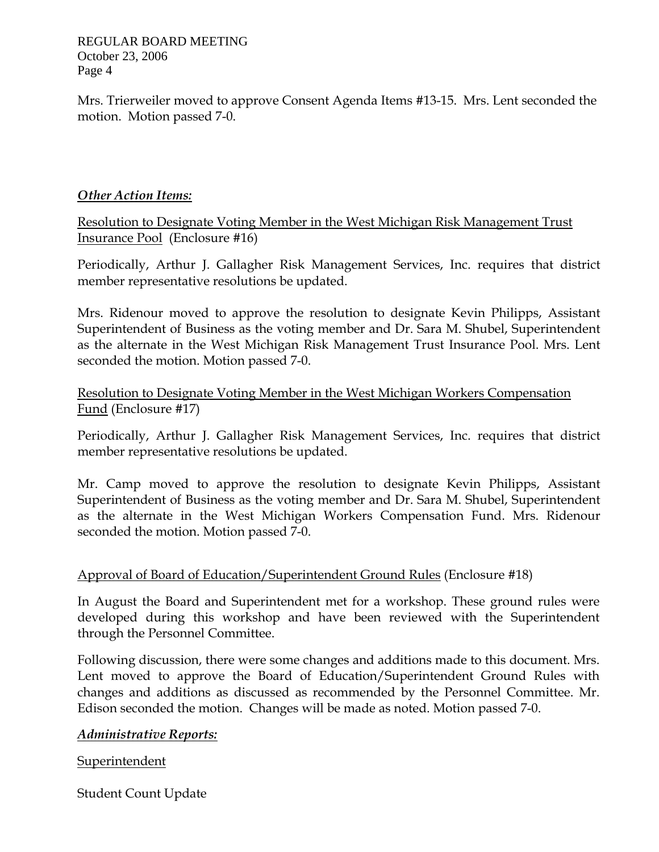Mrs. Trierweiler moved to approve Consent Agenda Items #13-15. Mrs. Lent seconded the motion. Motion passed 7-0.

# *Other Action Items:*

Resolution to Designate Voting Member in the West Michigan Risk Management Trust Insurance Pool (Enclosure #16)

Periodically, Arthur J. Gallagher Risk Management Services, Inc. requires that district member representative resolutions be updated.

Mrs. Ridenour moved to approve the resolution to designate Kevin Philipps, Assistant Superintendent of Business as the voting member and Dr. Sara M. Shubel, Superintendent as the alternate in the West Michigan Risk Management Trust Insurance Pool. Mrs. Lent seconded the motion. Motion passed 7-0.

Resolution to Designate Voting Member in the West Michigan Workers Compensation Fund (Enclosure #17)

Periodically, Arthur J. Gallagher Risk Management Services, Inc. requires that district member representative resolutions be updated.

Mr. Camp moved to approve the resolution to designate Kevin Philipps, Assistant Superintendent of Business as the voting member and Dr. Sara M. Shubel, Superintendent as the alternate in the West Michigan Workers Compensation Fund. Mrs. Ridenour seconded the motion. Motion passed 7-0.

# Approval of Board of Education/Superintendent Ground Rules (Enclosure #18)

In August the Board and Superintendent met for a workshop. These ground rules were developed during this workshop and have been reviewed with the Superintendent through the Personnel Committee.

Following discussion, there were some changes and additions made to this document. Mrs. Lent moved to approve the Board of Education/Superintendent Ground Rules with changes and additions as discussed as recommended by the Personnel Committee. Mr. Edison seconded the motion. Changes will be made as noted. Motion passed 7-0.

# *Administrative Reports:*

# Superintendent

Student Count Update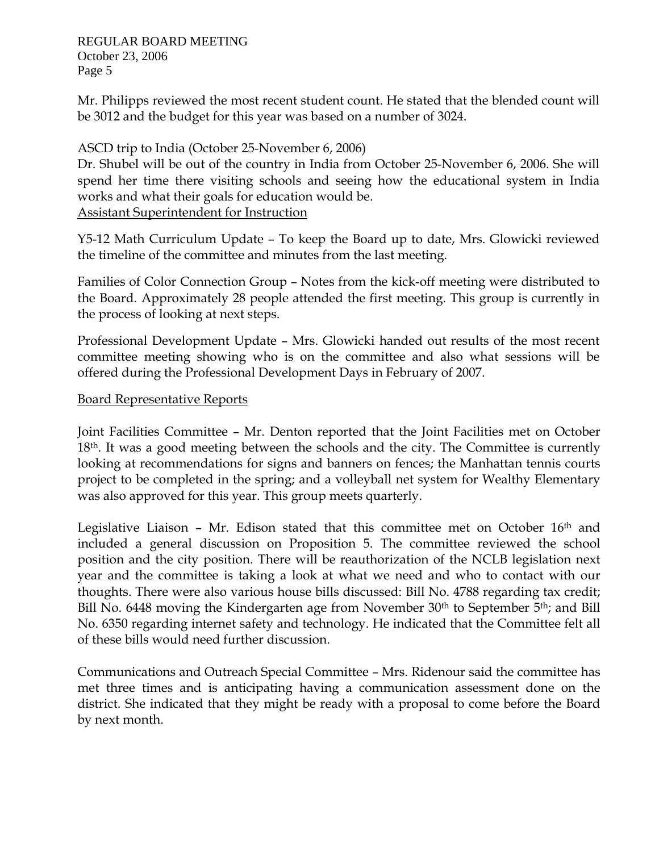Mr. Philipps reviewed the most recent student count. He stated that the blended count will be 3012 and the budget for this year was based on a number of 3024.

# ASCD trip to India (October 25-November 6, 2006)

Dr. Shubel will be out of the country in India from October 25-November 6, 2006. She will spend her time there visiting schools and seeing how the educational system in India works and what their goals for education would be. Assistant Superintendent for Instruction

Y5-12 Math Curriculum Update – To keep the Board up to date, Mrs. Glowicki reviewed the timeline of the committee and minutes from the last meeting.

Families of Color Connection Group – Notes from the kick-off meeting were distributed to the Board. Approximately 28 people attended the first meeting. This group is currently in the process of looking at next steps.

Professional Development Update – Mrs. Glowicki handed out results of the most recent committee meeting showing who is on the committee and also what sessions will be offered during the Professional Development Days in February of 2007.

# Board Representative Reports

Joint Facilities Committee – Mr. Denton reported that the Joint Facilities met on October  $18<sup>th</sup>$ . It was a good meeting between the schools and the city. The Committee is currently looking at recommendations for signs and banners on fences; the Manhattan tennis courts project to be completed in the spring; and a volleyball net system for Wealthy Elementary was also approved for this year. This group meets quarterly.

Legislative Liaison – Mr. Edison stated that this committee met on October 16th and included a general discussion on Proposition 5. The committee reviewed the school position and the city position. There will be reauthorization of the NCLB legislation next year and the committee is taking a look at what we need and who to contact with our thoughts. There were also various house bills discussed: Bill No. 4788 regarding tax credit; Bill No. 6448 moving the Kindergarten age from November 30<sup>th</sup> to September 5<sup>th</sup>; and Bill No. 6350 regarding internet safety and technology. He indicated that the Committee felt all of these bills would need further discussion.

Communications and Outreach Special Committee – Mrs. Ridenour said the committee has met three times and is anticipating having a communication assessment done on the district. She indicated that they might be ready with a proposal to come before the Board by next month.